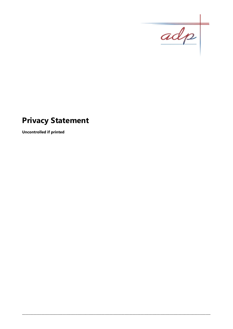

# **Privacy Statement**

**Uncontrolled if printed**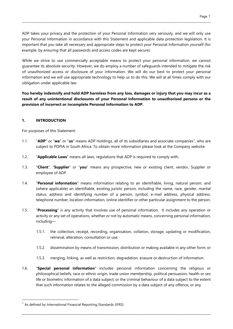ADP takes your privacy and the protection of your Personal Information very seriously, and we will only use your Personal Information in accordance with this Statement and applicable data protection legislation. It is important that you take all necessary and appropriate steps to protect your Personal Information yourself (for example, by ensuring that all passwords and access codes are kept secure).

\_\_\_\_\_\_\_\_\_\_\_\_\_\_\_\_\_\_\_\_\_\_\_\_\_\_\_\_\_\_\_\_\_\_\_\_\_\_\_\_\_\_\_\_\_\_\_\_\_\_\_\_\_\_\_\_\_\_\_\_\_\_\_\_\_\_\_\_\_\_\_\_\_\_\_\_\_\_\_\_\_\_\_\_\_\_\_\_\_\_\_\_\_\_\_\_\_\_\_\_\_\_\_\_\_\_\_\_\_\_\_\_\_\_\_\_\_\_\_\_\_\_\_\_\_\_\_\_\_

While we strive to use commercially acceptable means to protect your personal information, we cannot guarantee its absolute security. However, we do employ a number of safeguards intended to mitigate the risk of unauthorized access or disclosure of your information. We will do our best to protect your personal information and we will use appropriate technology to help us to do this. We will at all times comply with our obligation under applicable law.

You hereby indemnify and hold ADP harmless from any loss, damages or injury that you may incur as a result of any unintentional disclosures of your Personal Information to unauthorised persons or the provision of incorrect or incomplete Personal Information to ADP.

# 1. INTRODUCTION

For purposes of this Statement:

- 1.1. "ADP" or "we" or "us" means ADP Holdings, all of its subsidiaries and associate companies<sup>1</sup>, who are subject to POPIA in South Africa. To obtain more information please look at the Company website.
- 1.2. "**Applicable Laws**" means all laws, regulations that ADP is required to comply with;
- 1.3. "Client", "Supplier" or "you" means any prospective, new or existing client, vendor, Supplier or employee of ADP.
- 1.4. "**Personal information**" means information relating to an identifiable, living, natural person, and (where applicable) an identifiable, existing juristic person, including the name, race, gender, marital status, address and identifying number of a person, symbol, e-mail address, physical address, telephone number, location information, online identifier or other particular assignment to the person.
- 1.5. "Processing" is any activity that involves use of personal information. It includes any operation or activity or any set of operations, whether or not by automatic means, concerning personal information, including—
	- 1.5.1. the collection, receipt, recording, organisation, collation, storage, updating or modification, retrieval, alteration, consultation or use;
	- 1.5.2. dissemination by means of transmission, distribution or making available in any other form; or
	- 1.5.3. merging, linking, as well as restriction, degradation, erasure or destruction of information.
- 1.6. "Special personal information" includes personal information concerning the religious or philosophical beliefs, race or ethnic origin, trade union membership, political persuasion, health or sex life or biometric information of a data subject; or the criminal behaviour of a data subject to the extent that such information relates to the alleged commission by a data subject of any offence; or any

\_\_\_\_\_\_\_\_\_\_\_\_\_\_\_\_\_\_\_\_\_\_\_\_\_\_\_\_\_\_\_\_\_\_\_\_\_\_\_\_\_\_\_\_\_\_\_\_\_\_\_\_\_\_\_\_\_\_\_\_\_\_\_\_\_\_\_\_\_\_\_\_\_\_\_\_\_\_\_\_\_\_\_\_\_\_\_\_\_\_\_\_\_\_\_\_\_\_\_\_\_\_\_\_\_\_\_\_\_\_\_\_\_\_\_\_

-

 $1$  As defined by International Financial Reporting Standards (IFRS)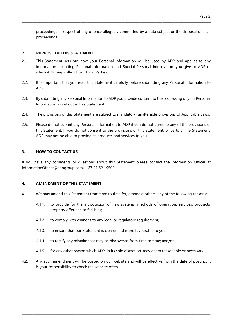proceedings in respect of any offence allegedly committed by a data subject or the disposal of such proceedings.

## 2. PURPOSE OF THIS STATEMENT

2.1. This Statement sets out how your Personal Information will be used by ADP and applies to any information, including Personal Information and Special Personal Information, you give to ADP or which ADP may collect from Third Parties.

\_\_\_\_\_\_\_\_\_\_\_\_\_\_\_\_\_\_\_\_\_\_\_\_\_\_\_\_\_\_\_\_\_\_\_\_\_\_\_\_\_\_\_\_\_\_\_\_\_\_\_\_\_\_\_\_\_\_\_\_\_\_\_\_\_\_\_\_\_\_\_\_\_\_\_\_\_\_\_\_\_\_\_\_\_\_\_\_\_\_\_\_\_\_\_\_\_\_\_\_\_\_\_\_\_\_\_\_\_\_\_\_\_\_\_\_\_\_\_\_\_\_\_\_\_\_\_\_\_

- 2.2. It is important that you read this Statement carefully before submitting any Personal Information to ADP.
- 2.3. By submitting any Personal Information to ADP you provide consent to the processing of your Personal Information as set out in this Statement.
- 2.4. The provisions of this Statement are subject to mandatory, unalterable provisions of Applicable Laws;
- 2.5. Please do not submit any Personal Information to ADP if you do not agree to any of the provisions of this Statement. If you do not consent to the provisions of this Statement, or parts of the Statement, ADP may not be able to provide its products and services to you.

# 3. HOW TO CONTACT US

If you have any comments or questions about this Statement please contact the Information Officer at InformationOfficer@adpgroup.com/ +27 21 521 9500.

## 4. AMENDMENT OF THIS STATEMENT

- 4.1. We may amend this Statement from time to time for, amongst others, any of the following reasons:
	- 4.1.1. to provide for the introduction of new systems, methods of operation, services, products, property offerings or facilities;
	- 4.1.2. to comply with changes to any legal or regulatory requirement;
	- 4.1.3. to ensure that our Statement is clearer and more favourable to you;
	- 4.1.4. to rectify any mistake that may be discovered from time to time; and/or
	- 4.1.5. for any other reason which ADP, in its sole discretion, may deem reasonable or necessary.
- 4.2. Any such amendment will be posted on our website and will be effective from the date of posting. It is your responsibility to check the website often.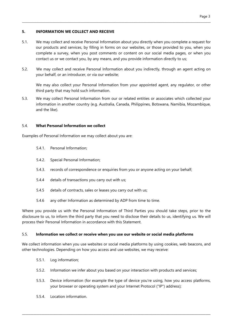## 5. INFORMATION WE COLLECT AND RECEIVE

5.1. We may collect and receive Personal Information about you directly when you complete a request for our products and services, by filling in forms on our websites, or those provided to you, when you complete a survey, when you post comments or content on our social media pages, or when you contact us or we contact you, by any means, and you provide information directly to us;

\_\_\_\_\_\_\_\_\_\_\_\_\_\_\_\_\_\_\_\_\_\_\_\_\_\_\_\_\_\_\_\_\_\_\_\_\_\_\_\_\_\_\_\_\_\_\_\_\_\_\_\_\_\_\_\_\_\_\_\_\_\_\_\_\_\_\_\_\_\_\_\_\_\_\_\_\_\_\_\_\_\_\_\_\_\_\_\_\_\_\_\_\_\_\_\_\_\_\_\_\_\_\_\_\_\_\_\_\_\_\_\_\_\_\_\_\_\_\_\_\_\_\_\_\_\_\_\_\_

5.2. We may collect and receive Personal Information about you indirectly, through an agent acting on your behalf, or an introducer, or via our website;

We may also collect your Personal Information from your appointed agent, any regulator, or other third party that may hold such information.

5.3. We may collect Personal Information from our or related entities or associates which collected your information in another country (e.g. Australia, Canada, Philippines, Botswana, Namibia, Mozambique, and the like).

#### 5.4. What Personal Information we collect

Examples of Personal Information we may collect about you are:

- 5.4.1. Personal Information;
- 5.4.2. Special Personal Information;
- 5.4.3. records of correspondence or enquiries from you or anyone acting on your behalf;
- 5.4.4 details of transactions you carry out with us;
- 5.4.5 details of contracts, sales or leases you carry out with us;
- 5.4.6 any other Information as determined by ADP from time to time.

Where you provide us with the Personal Information of Third Parties you should take steps, prior to the disclosure to us, to inform the third party that you need to disclose their details to us, identifying us. We will process their Personal Information in accordance with this Statement.

#### 5.5. Information we collect or receive when you use our website or social media platforms

We collect information when you use websites or social media platforms by using cookies, web beacons, and other technologies. Depending on how you access and use websites, we may receive:

- 5.5.1. Log information;
- 5.5.2. Information we infer about you based on your interaction with products and services;

- 5.5.3. Device information (for example the type of device you're using, how you access platforms, your browser or operating system and your Internet Protocol ("IP") address);
- 5.5.4. Location information.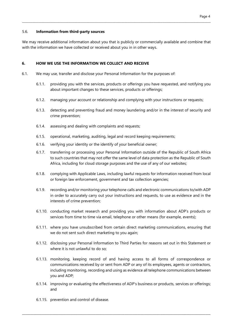#### 5.6. Information from third-party sources

We may receive additional information about you that is publicly or commercially available and combine that with the information we have collected or received about you in in other ways.

\_\_\_\_\_\_\_\_\_\_\_\_\_\_\_\_\_\_\_\_\_\_\_\_\_\_\_\_\_\_\_\_\_\_\_\_\_\_\_\_\_\_\_\_\_\_\_\_\_\_\_\_\_\_\_\_\_\_\_\_\_\_\_\_\_\_\_\_\_\_\_\_\_\_\_\_\_\_\_\_\_\_\_\_\_\_\_\_\_\_\_\_\_\_\_\_\_\_\_\_\_\_\_\_\_\_\_\_\_\_\_\_\_\_\_\_\_\_\_\_\_\_\_\_\_\_\_\_\_

#### 6. HOW WE USE THE INFORMATION WE COLLECT AND RECEIVE

- 6.1. We may use, transfer and disclose your Personal Information for the purposes of:
	- 6.1.1. providing you with the services, products or offerings you have requested, and notifying you about important changes to these services, products or offerings;
	- 6.1.2. managing your account or relationship and complying with your instructions or requests;
	- 6.1.3. detecting and preventing fraud and money laundering and/or in the interest of security and crime prevention;
	- 6.1.4. assessing and dealing with complaints and requests;
	- 6.1.5. operational, marketing, auditing, legal and record keeping requirements;
	- 6.1.6. verifying your identity or the identify of your beneficial owner;
	- 6.1.7. transferring or processing your Personal Information outside of the Republic of South Africa to such countries that may not offer the same level of data protection as the Republic of South Africa, including for cloud storage purposes and the use of any of our websites;
	- 6.1.8. complying with Applicable Laws, including lawful requests for information received from local or foreign law enforcement, government and tax collection agencies;
	- 6.1.9. recording and/or monitoring your telephone calls and electronic communications to/with ADP in order to accurately carry out your instructions and requests, to use as evidence and in the interests of crime prevention;
	- 6.1.10. conducting market research and providing you with information about ADP's products or services from time to time via email, telephone or other means (for example, events);
	- 6.1.11. where you have unsubscribed from certain direct marketing communications, ensuring that we do not sent such direct marketing to you again;
	- 6.1.12. disclosing your Personal Information to Third Parties for reasons set out in this Statement or where it is not unlawful to do so;
	- 6.1.13. monitoring, keeping record of and having access to all forms of correspondence or communications received by or sent from ADP or any of its employees, agents or contractors, including monitoring, recording and using as evidence all telephone communications between you and ADP;
	- 6.1.14. improving or evaluating the effectiveness of ADP's business or products, services or offerings; and

\_\_\_\_\_\_\_\_\_\_\_\_\_\_\_\_\_\_\_\_\_\_\_\_\_\_\_\_\_\_\_\_\_\_\_\_\_\_\_\_\_\_\_\_\_\_\_\_\_\_\_\_\_\_\_\_\_\_\_\_\_\_\_\_\_\_\_\_\_\_\_\_\_\_\_\_\_\_\_\_\_\_\_\_\_\_\_\_\_\_\_\_\_\_\_\_\_\_\_\_\_\_\_\_\_\_\_\_\_\_\_\_\_\_\_\_

6.1.15. prevention and control of disease.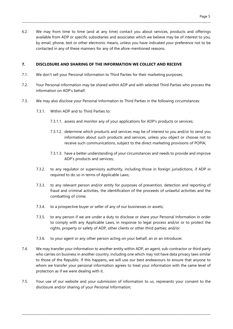6.2. We may from time to time (and at any time) contact you about services, products and offerings available from ADP or specific subsidiaries and associates which we believe may be of interest to you, by email, phone, text or other electronic means, unless you have indicated your preference not to be contacted in any of these manners for any of the afore-mentioned reasons.

## 7. DISCLOSURE AND SHARING OF THE INFORMATION WE COLLECT AND RECEIVE

- 7.1. We don't sell your Personal Information to Third Parties for their marketing purposes;
- 7.2. Your Personal Information may be shared within ADP and with selected Third Parties who process the information on ADP's behalf.
- 7.3. We may also disclose your Personal Information to Third Parties in the following circumstances:
	- 7.3.1. Within ADP and to Third Parties to:
		- 7.3.1.1. assess and monitor any of your applications for ADP's products or services;
		- 7.3.1.2. determine which products and services may be of interest to you and/or to send you information about such products and services, unless you object or choose not to receive such communications, subject to the direct marketing provisions of POPIA;
		- 7.3.1.3. have a better understanding of your circumstances and needs to provide and improve ADP's products and services;
	- 7.3.2. to any regulator or supervisory authority, including those in foreign jurisdictions, if ADP in required to do so in terms of Applicable Laws;
	- 7.3.3. to any relevant person and/or entity for purposes of prevention, detection and reporting of fraud and criminal activities, the identification of the proceeds of unlawful activities and the combatting of crime;
	- 7.3.4. to a prospective buyer or seller of any of our businesses or assets;
	- 7.3.5. to any person if we are under a duty to disclose or share your Personal Information in order to comply with any Applicable Laws, in response to legal process and/or or to protect the rights, property or safety of ADP, other clients or other third parties; and/or
	- 7.3.6. to your agent or any other person acting on your behalf, an or an introducer.
- 7.4. We may transfer your information to another entity within ADP, an agent, sub-contractor or third party who carries on business in another country, including one which may not have data privacy laws similar to those of the Republic. If this happens, we will use our best endeavours to ensure that anyone to whom we transfer your personal information agrees to treat your information with the same level of protection as if we were dealing with it.
- 7.5. Your use of our website and your submission of information to us, represents your consent to the disclosure and/or sharing of your Personal Information;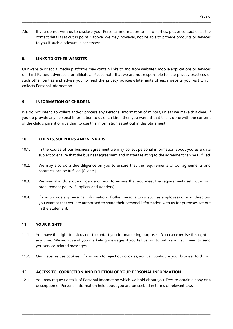7.6. If you do not wish us to disclose your Personal information to Third Parties, please contact us at the contact details set out in point 2 above. We may, however, not be able to provide products or services to you if such disclosure is necessary;

\_\_\_\_\_\_\_\_\_\_\_\_\_\_\_\_\_\_\_\_\_\_\_\_\_\_\_\_\_\_\_\_\_\_\_\_\_\_\_\_\_\_\_\_\_\_\_\_\_\_\_\_\_\_\_\_\_\_\_\_\_\_\_\_\_\_\_\_\_\_\_\_\_\_\_\_\_\_\_\_\_\_\_\_\_\_\_\_\_\_\_\_\_\_\_\_\_\_\_\_\_\_\_\_\_\_\_\_\_\_\_\_\_\_\_\_\_\_\_\_\_\_\_\_\_\_\_\_\_

# 8. LINKS TO OTHER WEBSITES

Our website or social media platforms may contain links to and from websites, mobile applications or services of Third Parties, advertisers or affiliates. Please note that we are not responsible for the privacy practices of such other parties and advise you to read the privacy policies/statements of each website you visit which collects Personal Information.

# 9. INFORMATION OF CHILDREN

We do not intend to collect and/or process any Personal Information of minors, unless we make this clear. If you do provide any Personal Information to us of children then you warrant that this is done with the consent of the child's parent or guardian to use this information as set out in this Statement.

## 10. CLIENTS, SUPPLIERS AND VENDORS

- 10.1. In the course of our business agreement we may collect personal information about you as a data subject to ensure that the business agreement and matters relating to the agreement can be fulfilled.
- 10.2. We may also do a due diligence on you to ensure that the requirements of our agreements and contracts can be fulfilled [Clients].
- 10.3. We may also do a due diligence on you to ensure that you meet the requirements set out in our procurement policy [Suppliers and Vendors].
- 10.4. If you provide any personal information of other persons to us, such as employees or your directors, you warrant that you are authorised to share their personal information with us for purposes set out in the Statement.

## 11. YOUR RIGHTS

- 11.1. You have the right to ask us not to contact you for marketing purposes. You can exercise this right at any time. We won't send you marketing messages if you tell us not to but we will still need to send you service-related messages.
- 11.2. Our websites use cookies. If you wish to reject our cookies, you can configure your browser to do so.

# 12. ACCESS TO, CORRECTION AND DELETION OF YOUR PERSONAL INFORMATION

12.1. You may request details of Personal Information which we hold about you. Fees to obtain a copy or a description of Personal Information held about you are prescribed in terms of relevant laws.